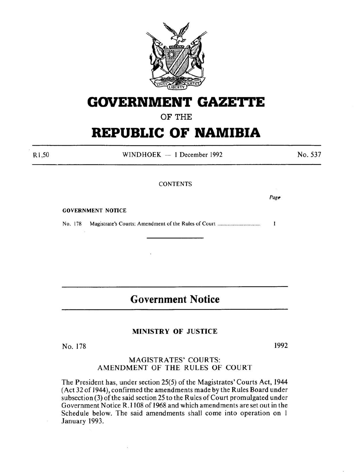

# **GOVERNMENT GAZETTE**

OF THE

# **REPUBLIC OF NAMIBIA**

Rl,SO

WINDHOEK - 1 December 1992

No. 537

#### CONTENTS

 $Page$ 

GOVERNMENT NOTICE

No. 178 Magistrate's Courts: Amendment of the Rules of Court .................................... .  $\mathbf{I}$ 

# **Government Notice**

# MINISTRY OF JUSTICE

No. 178 1992

# MAGISTRATES' COURTS: AMENDMENT OF THE RULES OF COURT

The President has, under section 25(5) of the Magistrates' Courts Act, 1944 (Act 32 of 1944), confirmed the amendments made by the Rules Board under subsection (3) of the said section 25 to the Rules of Court promulgated under Government Notice R.1108 of 1968 and which amendments are set out in the Schedule below. The said amendments shall come into operation on I January 1993.

S)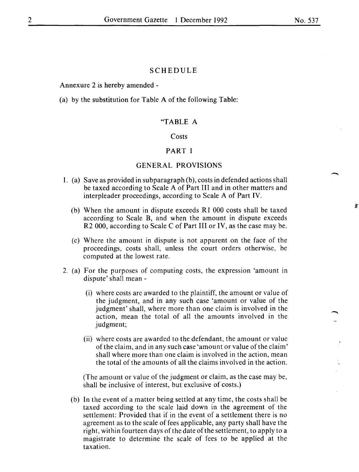-

-<br>-<br>-

#### SCHEDULE

Annexure 2 is hereby amended -

(a) by the substitution for Table A of the following Table:

# "TABLE A

#### Costs

# PART I

# GENERAL PROVISIONS

- I. (a) Save as provided in subparagraph (b), costs in defended actions shall be taxed according to Scale A of Part III and in other matters and interpleader proceedings, according to Scale A of Part IV.
	- (b) When the amount in dispute exceeds R I 000 costs shall be taxed according to Scale B, and when the amount in dispute exceeds R2 000, according to Scale C of Part III or IV, as the case may be.
	- (c) Where the amount in dispute is not apparent on the face of the proceedings, costs shall, unless the court orders otherwise, be computed at the lowest rate.
- 2. (a) For the purposes of computing costs, the expression 'amount in dispute' shall mean-
	- (i) where costs are awarded to the plaintiff, the amount or value of the judgment, and in any such case 'amount or value of the judgment' shall, where more than one claim is involved in the action, mean the total of all the amounts involved in the judgment;
	- (ii) where costs are awarded to the defendant, the amount or value of the claim, and in any such case 'amount or value of the claim' shall where more than one claim is involved in the action, mean the total of the amounts of all the claims involved in the action.

(The amount or value of the judgment or claim, as the case may be, shall be inclusive of interest, but exclusive of costs.)

(b) In the event of a matter being settled at any time, the costs shall be taxed according to the scale laid down in the agreement of the settlement: Provided that if in the event of a settlement there is no agreement as to the scale of fees applicable, any party shall have the right, within fourteen days of the date of the settlement, to apply to a magistrate to determine the scale of fees to be applied at the taxation.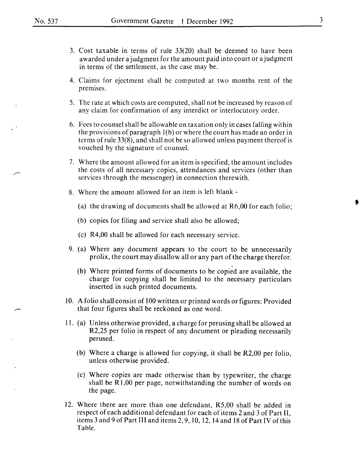- 3. Cost taxable in terms of rule 33(20) shall be deemed to have been awarded under a judgment for the amount paid into court or a judgment in terms of the settlement, as the case may be.
- 4. Claims for ejectment shall be computed at two months rent of the premises.
- 5. The rate at which costs are computed, shall not be increased by reason of any claim for confirmation of any interdict or interlocutory order.
- 6. Fees to counsel shall be allowable on taxation only in cases falling within the provisions of paragraph  $I(b)$  or where the court has made an order in terms of rule 33(8), and shall not be so allowed unless payment thereof is vouched by the signature of counsel.
- 7. Where the amount allowed for an item is specified, the amount includes the costs of all necessary copies, attendances and services (other than services through the messenger) in connection therewith.
- 8. Where the amount allowed for an item is left blank
	- (a) the drawing of documents shall be allowed at R6,00 for each folio;
	- (b) copies for filing and service shall also be allowed;
	- (c) R4,00 shall be allowed for each necessary service.
- 9. (a) Where any document appears to the court to be unnecessarily prolix, the court may disallow all or any part of the charge therefor.
	- (b) Where printed forms of documents to be copied are available, the charge for copying shall be limited to the necessary particulars inserted in such printed documents.
- iO. A folio shall consist of 100 written or printed words or figures: Provided that four figures shall be reckoned as one word.
- Il. (a) Unless otherwise provided, a charge for perusing shall be allowed at R2,25 per folio in respect of any document or pleading necessarily perused.
	- (b) Where a charge is allowed for copying, it shall be R2,00 per folio, unless otherwise provided.
	- (c) Where copies are made otherwise than by typewriter, the charge shall be R1,00 per page, notwithstanding the number of words on the page.
- 12. Where there are more than one defendant, R5,00 shall be added in respect of each additional defendant for each of items 2 and 3 of Part II, items 3 and 9 of Part III and items 2, 9, 10, 12, 14 and 18 of Part IV of this Table.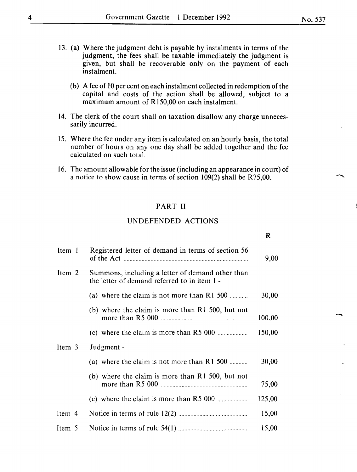- I3. (a) Where the judgment debt is payable by instalments in terms of the judgment, the fees shall be taxable immediately the judgment is given, but shall be recoverable only on the payment of each instalment.
	- (b) A fee of  $10$  per cent on each instalment collected in redemption of the capital and costs of the action shall be allowed, subject to a maximum amount of RI50,00 on each instalment.
- I4. The clerk of the court shall on taxation disallow any charge unnecessarily incurred.
- 15. Where the fee under any item is calculated on an hourly basis, the total number of hours on any one day shall be added together and the fee calculated on such total.
- I6. The amount allowable for the issue (including an appearance in court) of a notice to show cause in terms of section  $109(2)$  shall be R75,00.

# PART II

# UNDEFENDED ACTIONS

| Item 1 | Registered letter of demand in terms of section 56                                               | 9,00   |
|--------|--------------------------------------------------------------------------------------------------|--------|
| Item 2 | Summons, including a letter of demand other than<br>the letter of demand referred to in item 1 - |        |
|        | (a) where the claim is not more than $R1$ 500                                                    | 30,00  |
|        | (b) where the claim is more than $R1$ 500, but not                                               | 100,00 |
|        |                                                                                                  | 150,00 |
| Item 3 | Judgment -                                                                                       |        |
|        | (a) where the claim is not more than $R1$ 500                                                    | 30,00  |
|        | (b) where the claim is more than $R1$ 500, but not                                               | 75,00  |
|        |                                                                                                  | 125,00 |
| Item 4 |                                                                                                  | 15,00  |
| Item 5 |                                                                                                  | 15,00  |

 $\overline{\phantom{a}}$ 

R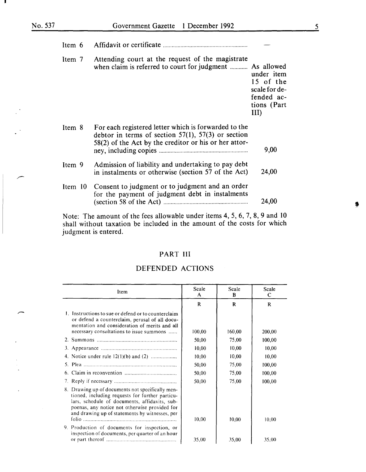| Item 6 |                                                                                                                                                                          |                                                                                                  |
|--------|--------------------------------------------------------------------------------------------------------------------------------------------------------------------------|--------------------------------------------------------------------------------------------------|
| Item 7 | Attending court at the request of the magistrate<br>when claim is referred to court for judgment                                                                         | As allowed<br>under item<br>15 of the<br>scale for de-<br>fended ac-<br>tions (Part<br>$\rm III$ |
| Item 8 | For each registered letter which is forwarded to the<br>debtor in terms of section $57(1)$ , $57(3)$ or section<br>58(2) of the Act by the creditor or his or her attor- | 9,00                                                                                             |
| Item 9 | Admission of liability and undertaking to pay debt<br>in instalments or otherwise (section 57 of the Act)                                                                | 24,00                                                                                            |
|        | Item 10 Consent to judgment or to judgment and an order<br>for the payment of judgment debt in instalments                                                               | 24,00                                                                                            |
|        |                                                                                                                                                                          |                                                                                                  |

Note: The amount of the fees allowable under items 4, 5, 6, 7, 8, 9 and 10 shall without taxation be included in the amount of the costs for which judgment is entered.

# PART III

# DEFENDED ACTIONS

| Item                                                                                                                                                                                                                                                    | Scale<br>A | Scale<br>B | Scale<br>C |
|---------------------------------------------------------------------------------------------------------------------------------------------------------------------------------------------------------------------------------------------------------|------------|------------|------------|
|                                                                                                                                                                                                                                                         | R          | R          | R          |
| 1. Instructions to sue or defend or to counterclaim.<br>or defend a counterclaim, perusal of all docu-<br>mentation and consideration of merits and all<br>necessary consultations to issue summons                                                     | 100,00     | 160,00     | 200,00     |
|                                                                                                                                                                                                                                                         | 50,00      | 75,00      | 100,00     |
|                                                                                                                                                                                                                                                         | 10,00      | 10,00      | 10,00      |
|                                                                                                                                                                                                                                                         | 10,00      | 10,00      | 10,00      |
|                                                                                                                                                                                                                                                         | 50,00      | 75,00      | 100,00     |
|                                                                                                                                                                                                                                                         | 50,00      | 75,00      | 100,00     |
|                                                                                                                                                                                                                                                         | 50,00      | 75,00      | 100,00     |
| 8. Drawing up of documents not specifically men-<br>tioned, including requests for further particu-<br>lars, schedule of documents, affidavits, sub-<br>poenas, any notice not otherwise provided for<br>and drawing up of statements by witnesses, per | 10,00      | 10,00      | 10,00      |
| 9. Production of documents for inspection, or<br>inspection of documents, per quarter of an hour                                                                                                                                                        | 35,00      | 35,00      | 35.00      |

蠢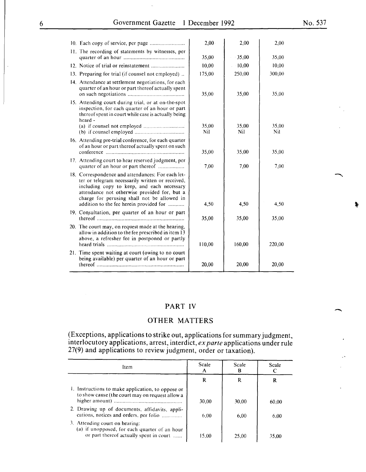$\overline{\phantom{a}}$ 

|                                                                                                                                                                                                                                          | $2,00 -$                                                                                                                                                                                                                                                                                                                                                                                                                                                                                                                                                | 2,00         | 2,00         |
|------------------------------------------------------------------------------------------------------------------------------------------------------------------------------------------------------------------------------------------|---------------------------------------------------------------------------------------------------------------------------------------------------------------------------------------------------------------------------------------------------------------------------------------------------------------------------------------------------------------------------------------------------------------------------------------------------------------------------------------------------------------------------------------------------------|--------------|--------------|
|                                                                                                                                                                                                                                          | 35,00                                                                                                                                                                                                                                                                                                                                                                                                                                                                                                                                                   | $-35,00$     | 35,00        |
|                                                                                                                                                                                                                                          | 10,00                                                                                                                                                                                                                                                                                                                                                                                                                                                                                                                                                   | 10,00        | 10,00        |
|                                                                                                                                                                                                                                          | 175,00                                                                                                                                                                                                                                                                                                                                                                                                                                                                                                                                                  | 250,00       | 300,00       |
| quarter of an hour or part thereof actually spent                                                                                                                                                                                        | 35,00                                                                                                                                                                                                                                                                                                                                                                                                                                                                                                                                                   | 35,00        | 35,00        |
| inspection, for each quarter of an hour or part<br>thereof spent in court while case is actually being<br>heard -                                                                                                                        |                                                                                                                                                                                                                                                                                                                                                                                                                                                                                                                                                         |              |              |
| (b) if counsel employed $\ldots$                                                                                                                                                                                                         | 35,00<br>Nil                                                                                                                                                                                                                                                                                                                                                                                                                                                                                                                                            | 35,00<br>Nil | 35,00<br>Nil |
| of an hour or part thereof actually spent on such                                                                                                                                                                                        | 35,00                                                                                                                                                                                                                                                                                                                                                                                                                                                                                                                                                   | 35,00        | 35,00        |
| quarter of an hour or part thereof                                                                                                                                                                                                       | 7,00                                                                                                                                                                                                                                                                                                                                                                                                                                                                                                                                                    | 7,00         | 7,00         |
| ter or telegram necessarily written or received,<br>including copy to keep, and each necessary<br>attendance not otherwise provided for, but a<br>charge for perusing shall not be allowed in<br>addition to the fee herein provided for | 4,50                                                                                                                                                                                                                                                                                                                                                                                                                                                                                                                                                    | 4,50         | 4,50         |
|                                                                                                                                                                                                                                          | 35,00                                                                                                                                                                                                                                                                                                                                                                                                                                                                                                                                                   | 35,00        | 35,00        |
| allow in addition to the fee prescribed in item 13<br>above, a refresher fee in postponed or partly                                                                                                                                      | 110,00                                                                                                                                                                                                                                                                                                                                                                                                                                                                                                                                                  | 160,00       | 220,00       |
| being available) per quarter of an hour or part                                                                                                                                                                                          | 20,00                                                                                                                                                                                                                                                                                                                                                                                                                                                                                                                                                   | 20,00        | 20,00        |
|                                                                                                                                                                                                                                          | 11. The recording of statements by witnesses, per<br>13. Preparing for trial (if counsel not employed)<br>14. Attendance at settlement negotiations, for each<br>15. Attending court during trial, or at on-the-spot<br>16. Attending pre-trial conference, for each quarter<br>17. Attending court to hear reserved judgment, per<br>18. Correspondence and attendances: For each let-<br>19. Consultation, per quarter of an hour or part<br>20. The court may, on request made at the hearing,<br>21. Time spent waiting at court (owing to no court |              |              |

# PART IV

# OTHER MATTERS

(Exceptions, applications to strike out, applications for summary judgment, interlocutory applications, arrest, interdict, *ex parte* applications under rule 27(9) and applications to review judgment, order or taxation).

| Item                                                                                                                       | Scale<br>A | Scale | Scale |
|----------------------------------------------------------------------------------------------------------------------------|------------|-------|-------|
|                                                                                                                            | R          | R     | R     |
| 1. Instructions to make application, to oppose or<br>to show cause (the court may on request allow a                       | 30.00      | 30.00 | 60.00 |
| 2. Drawing up of documents, affidavits, appli-<br>cations, notices and orders, per folio                                   | 6.00       | 6.00  | 6.00  |
| 3. Attending court on hearing:<br>(a) if unopposed, for each quarter of an hour<br>or part thereof actually spent in court | 15.00      | 25.00 | 35,00 |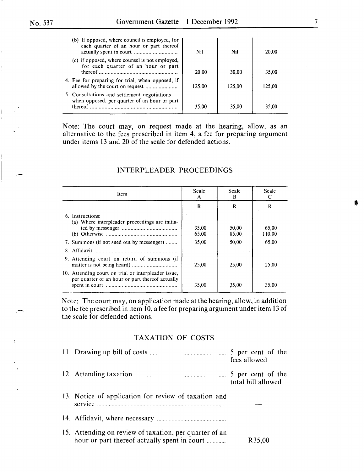| (b) If opposed, where council is employed, for<br>each quarter of an hour or part thereof                   | Nil    | Nil    | 20,00  |
|-------------------------------------------------------------------------------------------------------------|--------|--------|--------|
| (c) if opposed, where counsel is not employed,<br>for each quarter of an hour or part                       | 20,00  | 30,00  | 35,00  |
| 4. Fee for preparing for trial, when opposed, if                                                            | 125.00 | 125,00 | 125.00 |
| 5. Consultations and settlement negotiations $-$<br>when opposed, per quarter of an hour or part<br>thereof | 35,00  | 35,00  | 35.00  |

Note: The court may, on request made at the hearing, allow, as an alternative to the fees prescribed in item 4, a fee for preparing argument under items I3 and 20 of the scale for defended actions.

| Item                                                                                                   | Scale<br>A     | Scale<br>B     | Scale           |
|--------------------------------------------------------------------------------------------------------|----------------|----------------|-----------------|
|                                                                                                        | R              | R              | R               |
| 6. Instructions:<br>(a) Where interpleader proceedings are initia-                                     | 35,00<br>65,00 | 50,00<br>85,00 | 65,00<br>110,00 |
| 7. Summons (if not sued out by messenger)                                                              | 35,00          | 50,00          | 65,00           |
|                                                                                                        |                |                |                 |
| 9. Attending court on return of summons (if                                                            | 25,00          | 25,00          | 25.00           |
| 10. Attending court on trial or interpleader issue,<br>per quarter of an hour or part thereof actually | 35.00          | 35,00          | 35.00           |

# INTERPLEADER PROCEEDINGS

Note: The court may, on application made at the hearing, allow, in addition to the fee prescribed in item 10, a fee for preparing argument under item 13 of the scale for defended actions.

# TAXATION OF COSTS

|                                                                                                        | 5 per cent of the<br>fees allowed       |
|--------------------------------------------------------------------------------------------------------|-----------------------------------------|
|                                                                                                        | 5 per cent of the<br>total bill allowed |
| 13. Notice of application for review of taxation and                                                   |                                         |
|                                                                                                        |                                         |
| 15. Attending on review of taxation, per quarter of an<br>hour or part thereof actually spent in court | R35,00                                  |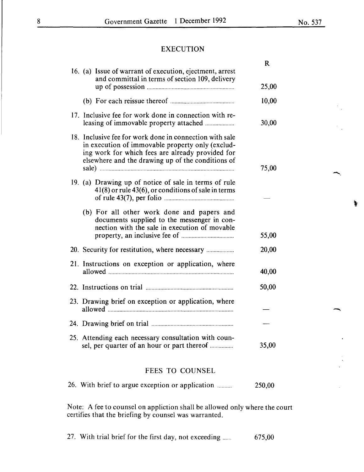-.

-

# EXECUTION

|                                                                                                                                                                                                                      | R     |
|----------------------------------------------------------------------------------------------------------------------------------------------------------------------------------------------------------------------|-------|
| 16. (a) Issue of warrant of execution, ejectment, arrest<br>and committal in terms of section 109, delivery                                                                                                          | 25,00 |
|                                                                                                                                                                                                                      | 10,00 |
| 17. Inclusive fee for work done in connection with re-                                                                                                                                                               | 30,00 |
| 18. Inclusive fee for work done in connection with sale<br>in execution of immovable property only (exclud-<br>ing work for which fees are already provided for<br>elsewhere and the drawing up of the conditions of | 75,00 |
| 19. (a) Drawing up of notice of sale in terms of rule<br>$41(8)$ or rule $43(6)$ , or conditions of sale in terms                                                                                                    |       |
| (b) For all other work done and papers and<br>documents supplied to the messenger in con-<br>nection with the sale in execution of movable                                                                           | 55,00 |
|                                                                                                                                                                                                                      | 20,00 |
| 21. Instructions on exception or application, where                                                                                                                                                                  | 40,00 |
|                                                                                                                                                                                                                      | 50,00 |
| 23. Drawing brief on exception or application, where                                                                                                                                                                 |       |
|                                                                                                                                                                                                                      |       |
| 25. Attending each necessary consultation with coun-<br>sel, per quarter of an hour or part thereof                                                                                                                  | 35,00 |
|                                                                                                                                                                                                                      |       |

# FEES TO COUNSEL

26. With brief to argue exception or application ......... . 250,00

Note: A fee to counsel on appliction shall be allowed only where the court certifies that the briefing by counsel was warranted.

27. With trial brief for the first day, not exceeding ...... 675,00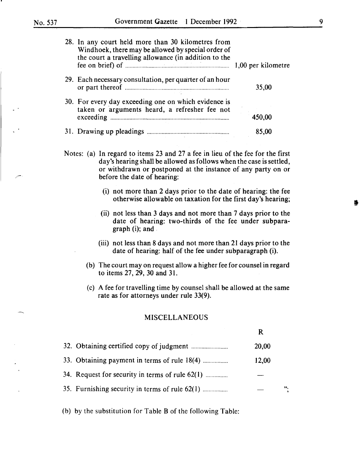| 28. In any court held more than 30 kilometres from<br>Windhoek, there may be allowed by special order of<br>the court a travelling allowance (in addition to the |        |
|------------------------------------------------------------------------------------------------------------------------------------------------------------------|--------|
| 29. Each necessary consultation, per quarter of an hour                                                                                                          | 35,00  |
| 30. For every day exceeding one on which evidence is<br>taken or arguments heard, a refresher fee not                                                            | 450,00 |
|                                                                                                                                                                  | 85,00  |

Notes: (a) In regard to items 23 and 27 a fee in lieu of the fee for the first day's hearing shall be allowed as follows when the case is settled, or withdrawn or postponed at the instance of any party on or before the date of hearing:

- (i) not more than 2 days prior to the date of hearing: the fee otherwise allowable on taxation for the first day's hearing;
- (ii) not less than 3 days and not more than 7 days prior to the date of hearing: two-thirds of the fee under subparagraph (i); and .
- (iii) not less than 8 days and not more than 21 days prior to the date of hearing: half of the fee under subparagraph (i).
- (b) The court may on request allow a higher fee for counsel in regard to items 27, 29, 30 and 31.
- (c) A fee for travelling time by counsel shall be allowed at the same rate as for attorneys under rule 33(9).

R

# MISCELLANEOUS

|                                                 | 20,00 |    |
|-------------------------------------------------|-------|----|
| 33. Obtaining payment in terms of rule 18(4)    | 12,00 |    |
| 34. Request for security in terms of rule 62(1) |       |    |
| 35. Furnishing security in terms of rule 62(1)  |       | ". |
|                                                 |       |    |

(b) by the substitution for Table B of the following Table:

**'**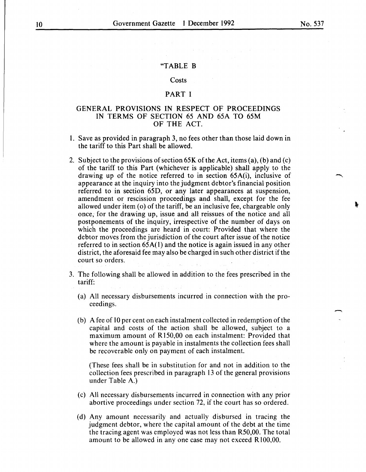#### "TABLE B

#### Costs

# PART I

# GENERAL PROVISIONS IN RESPECT OF PROCEEDINGS IN TERMS OF SECTION 65 AND 65A TO 65M OF THE ACT.

- I. Save as provided in paragraph 3, no fees other than those laid down in the tariff to this Part shall be allowed.
- 2. Subject to the provisions of section  $65K$  of the Act, items (a), (b) and (c) of the tariff to this Part (whichever is applicable) shall apply to the drawing up of the notice referred to in section 65A(i), inclusive of appearance at the inquiry into the judgment debtor's financial position referred to in section 65D, or any later appearances at suspension, amendment or rescission proceedings and shall, except for the fee allowed under item (o) of the tariff, be an inclusive fee, chargeable only once, for the drawing up, issue and all reissues of the notice and all postponements of the inquiry, irrespective of the number of days on which the proceedings are heard in court: Provided that where the debtor moves from the jurisdiction of the court after issue of the notice referred to in section 65A(l) and the notice is again issued in any other district, the aforesaid fee may also be charged in such other district if the court so orders.
- 3. The following shall be allowed in addition to the fees prescribed in the tariff:
	- (a) All necessary disbursements incurred in connection with the proceedings.
	- (b) A fee of 10 per cent on each instalment collected in redemption of the capital and costs of the action shall be allowed, subject to a maximum amount of R I50,00 on each instalment: Provided that where the amount is payable in instalments the collection fees shall be recoverable only on payment of each instalment.

(These fees shall be in substitution for and not in addition to the collection fees prescribed in paragraph I3 of the general provisions under Table A.)

- (c) All necessary disbursements incurred in connection with any prior abortive proceedings under section 72, if the court has so ordered.
- (d) Any amount necessarily and actually disbursed in tracing the judgment debtor, where the capital amount of the debt at the time the tracing agent was employed was not less than R50,00. The total amount to be allowed in any one case may not exceed R 100,00.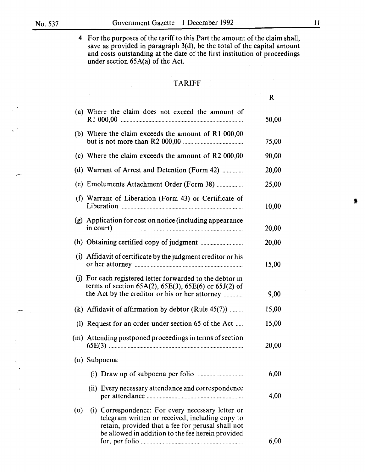4. For the purposes of the tariff to this Part the amount of the claim shall, save as provided in paragraph  $3(d)$ , be the total of the capital amount and costs outstanding at the date of the first institution of proceedings under section 65A(a) of the Act.

# TARIFF

|                                                                                                                                                                               | R     |
|-------------------------------------------------------------------------------------------------------------------------------------------------------------------------------|-------|
| (a) Where the claim does not exceed the amount of                                                                                                                             | 50,00 |
| (b) Where the claim exceeds the amount of R1 000,00                                                                                                                           | 75,00 |
| (c) Where the claim exceeds the amount of R2 000,00                                                                                                                           | 90,00 |
| (d) Warrant of Arrest and Detention (Form 42)                                                                                                                                 | 20,00 |
| (e) Emoluments Attachment Order (Form 38)                                                                                                                                     | 25,00 |
| (f) Warrant of Liberation (Form 43) or Certificate of                                                                                                                         | 10,00 |
| (g) Application for cost on notice (including appearance                                                                                                                      | 20,00 |
|                                                                                                                                                                               | 20,00 |
| (i) Affidavit of certificate by the judgment creditor or his                                                                                                                  | 15,00 |
| (j) For each registered letter forwarded to the debtor in<br>terms of section $65A(2)$ , $65E(3)$ , $65E(6)$ or $65J(2)$ of<br>the Act by the creditor or his or her attorney | 9,00  |
| (k) Affidavit of affirmation by debtor (Rule $45(7)$ )                                                                                                                        | 15,00 |
| (1) Request for an order under section 65 of the Act                                                                                                                          | 15,00 |
| (m) Attending postponed proceedings in terms of section                                                                                                                       | 20,00 |
| (n) Subpoena:                                                                                                                                                                 |       |
|                                                                                                                                                                               | 6,00  |
| (ii) Every necessary attendance and correspondence                                                                                                                            | 4,00  |

( o) (i) Correspondence: For every necessary letter or telegram written or received, including copy to retain, provided that a fee for perusal shall not be allowed in addition to the fee herein provided for, per folio ...................................................................... 6,00 •<br>•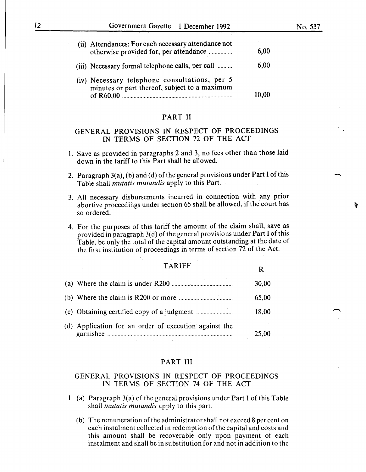-

| (ii) Attendances: For each necessary attendance not<br>otherwise provided for, per attendance                   | 6,00  |
|-----------------------------------------------------------------------------------------------------------------|-------|
| (iii) Necessary formal telephone calls, per call                                                                | 6,00  |
| (iv) Necessary telephone consultations, per 5<br>minutes or part thereof, subject to a maximum<br>of $R60.00$ . | 10,00 |

#### PART II

# GENERAL PROVISIONS IN RESPECT OF PROCEEDINGS IN TERMS OF SECTION 72 OF THE ACT

- 1. Save as provided in paragraphs 2 and 3, no fees other than those laid down in the tariff to this Part shall be allowed.
- 2. Paragraph  $3(a)$ , (b) and (d) of the general provisions under Part I of this Table shall *mutatis mutandis* apply to this Part.
- 3. All necessary disbursements incurred in connection with any prior abortive proceedings under section 65 shall be allowed, if the court has so ordered.
- 4. For the purposes of this tariff the amount of the claim shall, save as provided in paragraph 3(d) of the general provisions under Part I of this Table, be only the total of the capital amount outstanding at the date of the first institution of proceedings in terms of section 72 of the Act.

| <b>TARIFF</b>                                         | R     |
|-------------------------------------------------------|-------|
|                                                       | 30,00 |
|                                                       | 65,00 |
|                                                       | 18,00 |
| (d) Application for an order of execution against the | 25,00 |

# PART III

# GENERAL PROVISIONS IN RESPECT OF PROCEEDINGS IN TERMS OF SECTION 74 OF THE ACT

- 1. (a) Paragraph 3(a) of the general provisions under Part I of this Table shall *mutatis mutandis* apply to this part.
	- (b) The remuneration of the administrator shall not exceed 8 per cent on each instalment collected in redemption of the capital and costs and this amount shall be recoverable only upon payment of each instalment and shall be in substitution for and not in addition to the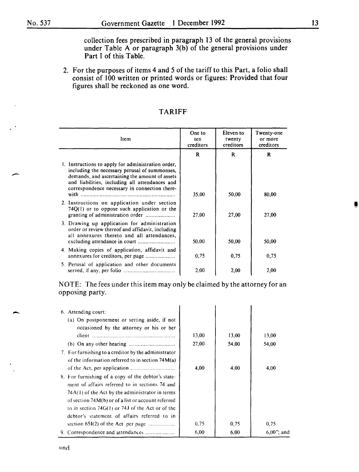$\overline{\phantom{a}}$ 

-

collection fees prescribed in paragraph 13 of the general provisions under Table A or paragraph  $3(b)$  of the general provisions under Part I of this Table.

2. For the purposes of items 4 and 5 of the tariff to this Part, a folio shall consist of 100 written or printed words or figures: Provided that four figures shall be reckoned as one word.

| Item                                                                                                                                                                                                                                                     | One to<br>ten<br>creditors | Eleven to<br>twenty<br>creditors | Twenty-one<br>or more<br>creditors |
|----------------------------------------------------------------------------------------------------------------------------------------------------------------------------------------------------------------------------------------------------------|----------------------------|----------------------------------|------------------------------------|
|                                                                                                                                                                                                                                                          | $\mathbf{R}$               | R                                | R                                  |
| 1. Instructions to apply for administration order,<br>including the necessary perusal of summonses,<br>demands, and ascertaining the amount of assets<br>and liabilities, including all attendances and<br>correspondence necessary in connection there- | 35,00                      | 50,00                            | 80,00                              |
| 2. Instructions on application under section<br>$74Q(1)$ or to oppose such application or the                                                                                                                                                            | 27,00                      | 27,00                            | 27,00                              |
| 3. Drawing up application for administration<br>order or review thereof and affidavit, including<br>all annexures thereto and all attendances,                                                                                                           | 50,00                      | 50,00                            | 50,00                              |
| 4. Making copies of application, affidavit and<br>annexures for creditors, per page                                                                                                                                                                      | 0,75                       | 0,75                             | 0.75                               |
| 5. Perusal of application and other documents                                                                                                                                                                                                            | 2,00                       | 2,00                             | 2,00                               |

# TARIFF

NOTE: The fees under this item may only be claimed by the attorney for an opposing party.

| 6. Attending court:<br>(a) On postponement or setting aside, if not<br>occasioned by the attorney or his or her                                                                                                                                                                                                       |       |       |               |
|-----------------------------------------------------------------------------------------------------------------------------------------------------------------------------------------------------------------------------------------------------------------------------------------------------------------------|-------|-------|---------------|
|                                                                                                                                                                                                                                                                                                                       | 13,00 | 13,00 | 13,00         |
|                                                                                                                                                                                                                                                                                                                       | 27,00 | 54,00 | 54,00         |
| 7. For furnishing to a creditor by the administrator<br>of the information referred to in section $74M(a)$                                                                                                                                                                                                            |       |       |               |
|                                                                                                                                                                                                                                                                                                                       | 4,00  | 4.00  | 4,00          |
| 8. For furnishing of a copy of the debtor's state-<br>ment of affairs referred to in sections 74 and<br>74A(1) of the Act by the administrator in terms<br>of section 74M(b) or of a list or account referred<br>to in section $74G(1)$ or $74J$ of the Act or of the<br>debtor's statement of affairs referred to in |       |       |               |
| section $65I(2)$ of the Act per page                                                                                                                                                                                                                                                                                  | 0,75  | 0.75  | 0,75          |
| 9. Correspondence and attendances                                                                                                                                                                                                                                                                                     | 6,00  | 6,00  | $6.00$ "; and |

I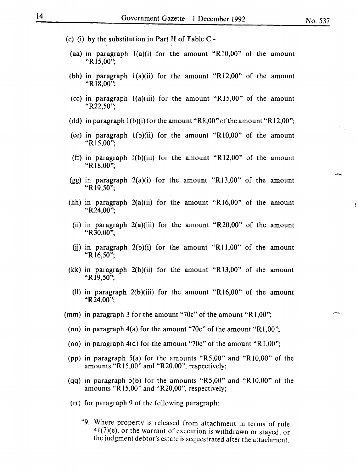- (c) (i) by the substitution in Part II of Table  $C$  -
	- (aa) in paragraph  $1(a)(i)$  for the amount "R10,00" of the amount "R<sub>15</sub>,00";
	- (bb) in paragraph  $l(a)(ii)$  for the amount "R12,00" of the amount "RI8,00";
	- (cc) in paragraph  $l(a)(iii)$  for the amount "R15,00" of the amount "R22,50";
	- (dd) in paragraph  $1(b)(i)$  for the amount "R8,00" of the amount "R12,00";
	- (ee) in paragraph  $l(b)(ii)$  for the amount "R $l0,00$ " of the amount "R<sub>15,00</sub>":
	- (ff) in paragraph  $1(b)(iii)$  for the amount "R12,00" of the amount "Rl8,00";
	- (gg) in paragraph  $2(a)(i)$  for the amount "R13,00" of the amount "Rl9,50";
- (hh) in paragraph  $2(a)(ii)$  for the amount "R16,00" of the amount "R24,00";
- (ii) in paragraph  $2(a)$ (iii) for the amount "R20,00" of the amount "R30,00";
- (i) in paragraph  $2(b)(i)$  for the amount "R11,00" of the amount "R<sub>16.50</sub>":
- (kk) in paragraph  $2(b)(ii)$  for the amount "R13,00" of the amount "R<sub>19,50</sub>";
- (II) in paragraph  $2(b)(iii)$  for the amount "R16,00" of the amount "R24,00";
- (mm) in paragraph 3 for the amount "70c" of the amount "R1,00";
	- (nn) in paragraph 4(a) for the amount "70c" of the amount "R1,00";
	- (oo) in paragraph 4(d) for the amount "70c" of the amount "R1,00";
	- (pp) in paragraph 5(a) for the amounts "R5,00" and "RIO,OO" of the amounts " $R15,00$ " and " $R20,00$ ", respectively;
	- (qq) in paragraph 5(b) for the amounts "R5,00" and "RIO,OO" of the amounts " $R15,00$ " and " $R20,00$ ", respectively;
	- (rr) for paragraph 9 of the following paragraph:
		- "9. Where property is released from attachment in terms of rule 41(7)(e), or the warrant of execution is withdrawn or stayed, or the judgment debtor's estate is sequestrated after the attachment,